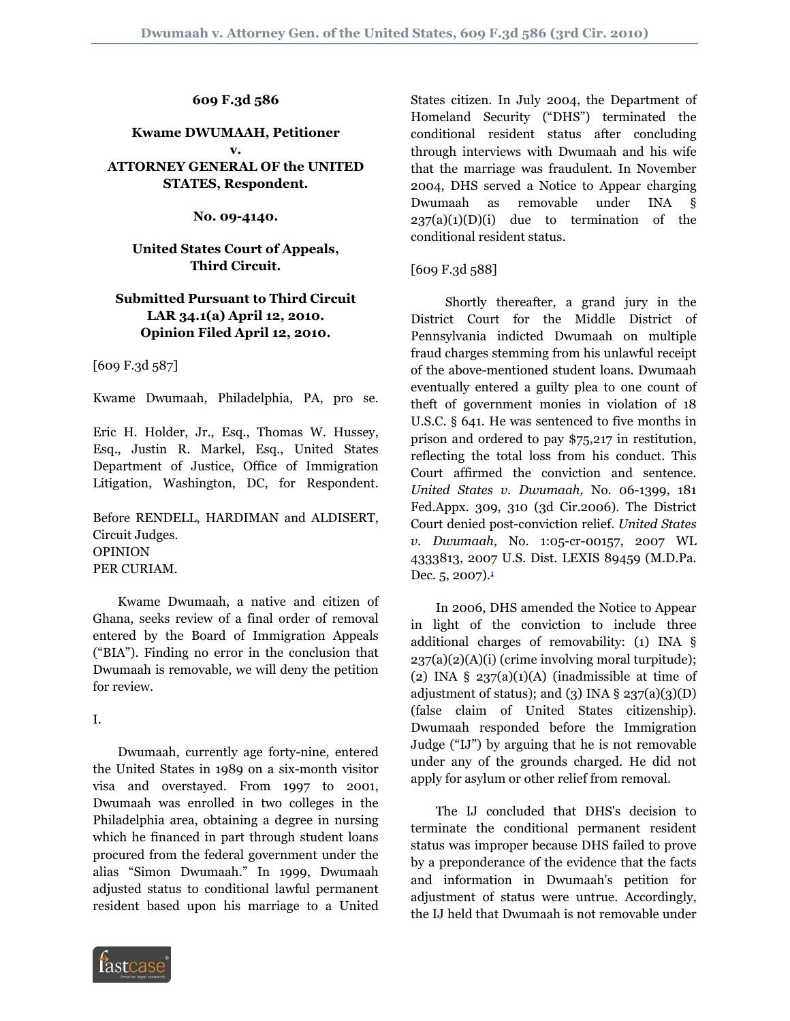**609 F.3d 586**

#### **Kwame DWUMAAH, Petitioner v. ATTORNEY GENERAL OF the UNITED STATES, Respondent.**

**No. 09-4140.**

#### **United States Court of Appeals, Third Circuit.**

## **Submitted Pursuant to Third Circuit LAR 34.1(a) April 12, 2010. Opinion Filed April 12, 2010.**

[609 F.3d 587]

Kwame Dwumaah, Philadelphia, PA, pro se.

Eric H. Holder, Jr., Esq., Thomas W. Hussey, Esq., Justin R. Markel, Esq., United States Department of Justice, Office of Immigration Litigation, Washington, DC, for Respondent.

Before RENDELL, HARDIMAN and ALDISERT, Circuit Judges. OPINION PER CURIAM.

 Kwame Dwumaah, a native and citizen of Ghana, seeks review of a final order of removal entered by the Board of Immigration Appeals ("BIA"). Finding no error in the conclusion that Dwumaah is removable, we will deny the petition for review.

I.

 Dwumaah, currently age forty-nine, entered the United States in 1989 on a six-month visitor visa and overstayed. From 1997 to 2001, Dwumaah was enrolled in two colleges in the Philadelphia area, obtaining a degree in nursing which he financed in part through student loans procured from the federal government under the alias "Simon Dwumaah." In 1999, Dwumaah adjusted status to conditional lawful permanent resident based upon his marriage to a United



States citizen. In July 2004, the Department of Homeland Security ("DHS") terminated the conditional resident status after concluding through interviews with Dwumaah and his wife that the marriage was fraudulent. In November 2004, DHS served a Notice to Appear charging Dwumaah as removable under INA §  $237(a)(1)(D)(i)$  due to termination of the conditional resident status.

## [609 F.3d 588]

 Shortly thereafter, a grand jury in the District Court for the Middle District of Pennsylvania indicted Dwumaah on multiple fraud charges stemming from his unlawful receipt of the above-mentioned student loans. Dwumaah eventually entered a guilty plea to one count of theft of government monies in violation of 18 U.S.C. § 641. He was sentenced to five months in prison and ordered to pay \$75,217 in restitution, reflecting the total loss from his conduct. This Court affirmed the conviction and sentence. *United States v. Dwumaah,* No. 06-1399, 181 Fed.Appx. 309, 310 (3d Cir.2006). The District Court denied post-conviction relief. *United States v. Dwumaah,* No. 1:05-cr-00157, 2007 WL 4333813, 2007 U.S. Dist. LEXIS 89459 (M.D.Pa. Dec.  $5, 2007$ ).<sup>[1](#page-2-0)</sup>

<span id="page-0-0"></span> In 2006, DHS amended the Notice to Appear in light of the conviction to include three additional charges of removability: (1) INA §  $237(a)(2)(A)(i)$  (crime involving moral turpitude); (2) INA  $\S$  237(a)(1)(A) (inadmissible at time of adjustment of status); and (3) INA  $\S$  237(a)(3)(D) (false claim of United States citizenship). Dwumaah responded before the Immigration Judge ("IJ") by arguing that he is not removable under any of the grounds charged. He did not apply for asylum or other relief from removal.

 The IJ concluded that DHS's decision to terminate the conditional permanent resident status was improper because DHS failed to prove by a preponderance of the evidence that the facts and information in Dwumaah's petition for adjustment of status were untrue. Accordingly, the IJ held that Dwumaah is not removable under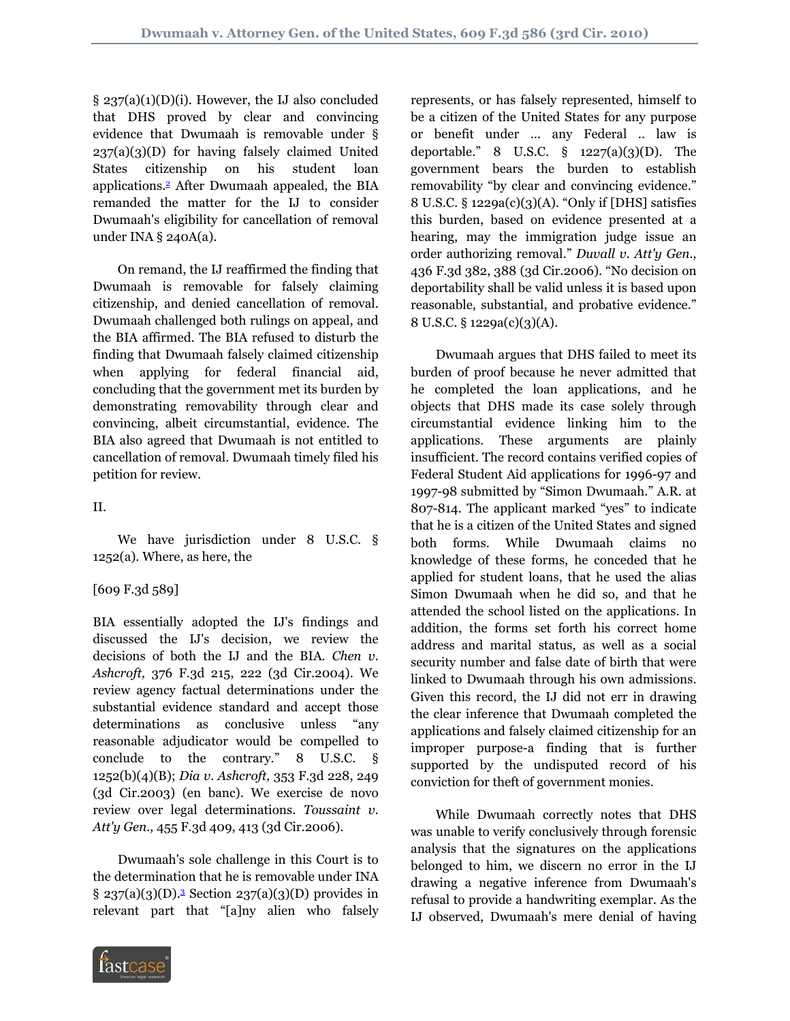§ 237(a)(1)(D)(i). However, the IJ also concluded that DHS proved by clear and convincing evidence that Dwumaah is removable under §  $237(a)(3)(D)$  for having falsely claimed United States citizenship on his student loan applications.[2](#page-2-1) After Dwumaah appealed, the BIA remanded the matter for the IJ to consider Dwumaah's eligibility for cancellation of removal under INA § 240A(a).

<span id="page-1-0"></span> On remand, the IJ reaffirmed the finding that Dwumaah is removable for falsely claiming citizenship, and denied cancellation of removal. Dwumaah challenged both rulings on appeal, and the BIA affirmed. The BIA refused to disturb the finding that Dwumaah falsely claimed citizenship when applying for federal financial aid, concluding that the government met its burden by demonstrating removability through clear and convincing, albeit circumstantial, evidence. The BIA also agreed that Dwumaah is not entitled to cancellation of removal. Dwumaah timely filed his petition for review.

# II.

 We have jurisdiction under 8 U.S.C. § 1252(a). Where, as here, the

## [609 F.3d 589]

BIA essentially adopted the IJ's findings and discussed the IJ's decision, we review the decisions of both the IJ and the BIA. *Chen v. Ashcroft,* 376 F.3d 215, 222 (3d Cir.2004). We review agency factual determinations under the substantial evidence standard and accept those determinations as conclusive unless "any reasonable adjudicator would be compelled to conclude to the contrary." 8 U.S.C. § 1252(b)(4)(B); *Dia v. Ashcroft,* 353 F.3d 228, 249 (3d Cir.2003) (en banc). We exercise de novo review over legal determinations. *Toussaint v. Att'y Gen.,* 455 F.3d 409, 413 (3d Cir.2006).

<span id="page-1-1"></span> Dwumaah's sole challenge in this Court is to the determination that he is removable under INA  $\S 237(a)(3)(D).<sup>3</sup> Section 237(a)(3)(D) provides in$  $\S 237(a)(3)(D).<sup>3</sup> Section 237(a)(3)(D) provides in$  $\S 237(a)(3)(D).<sup>3</sup> Section 237(a)(3)(D) provides in$ relevant part that "[a]ny alien who falsely



represents, or has falsely represented, himself to be a citizen of the United States for any purpose or benefit under ... any Federal .. law is deportable." 8 U.S.C.  $\S$  1227(a)(3)(D). The government bears the burden to establish removability "by clear and convincing evidence." 8 U.S.C. § 1229a(c)(3)(A). "Only if [DHS] satisfies this burden, based on evidence presented at a hearing, may the immigration judge issue an order authorizing removal." *Duvall v. Att'y Gen.,* 436 F.3d 382, 388 (3d Cir.2006). "No decision on deportability shall be valid unless it is based upon reasonable, substantial, and probative evidence." 8 U.S.C. § 1229a(c)(3)(A).

 Dwumaah argues that DHS failed to meet its burden of proof because he never admitted that he completed the loan applications, and he objects that DHS made its case solely through circumstantial evidence linking him to the applications. These arguments are plainly insufficient. The record contains verified copies of Federal Student Aid applications for 1996-97 and 1997-98 submitted by "Simon Dwumaah." A.R. at 807-814. The applicant marked "yes" to indicate that he is a citizen of the United States and signed both forms. While Dwumaah claims no knowledge of these forms, he conceded that he applied for student loans, that he used the alias Simon Dwumaah when he did so, and that he attended the school listed on the applications. In addition, the forms set forth his correct home address and marital status, as well as a social security number and false date of birth that were linked to Dwumaah through his own admissions. Given this record, the IJ did not err in drawing the clear inference that Dwumaah completed the applications and falsely claimed citizenship for an improper purpose-a finding that is further supported by the undisputed record of his conviction for theft of government monies.

 While Dwumaah correctly notes that DHS was unable to verify conclusively through forensic analysis that the signatures on the applications belonged to him, we discern no error in the IJ drawing a negative inference from Dwumaah's refusal to provide a handwriting exemplar. As the IJ observed, Dwumaah's mere denial of having